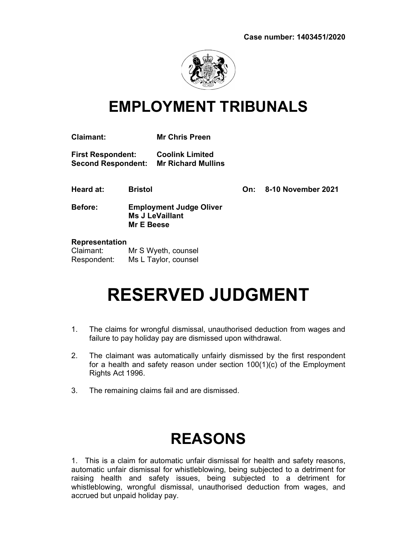

# EMPLOYMENT TRIBUNALS

Claimant: Mr Chris Preen

First Respondent: Coolink Limited Second Respondent: Mr Richard Mullins

Heard at: Bristol On: 8-10 November 2021

Before: Employment Judge Oliver Ms J LeVaillant Mr E Beese

#### Representation

| Claimant:   | Mr S Wyeth, counsel  |
|-------------|----------------------|
| Respondent: | Ms L Taylor, counsel |

# RESERVED JUDGMENT

- 1. The claims for wrongful dismissal, unauthorised deduction from wages and failure to pay holiday pay are dismissed upon withdrawal.
- 2. The claimant was automatically unfairly dismissed by the first respondent for a health and safety reason under section 100(1)(c) of the Employment Rights Act 1996.
- 3. The remaining claims fail and are dismissed.

# REASONS

1. This is a claim for automatic unfair dismissal for health and safety reasons, automatic unfair dismissal for whistleblowing, being subjected to a detriment for raising health and safety issues, being subjected to a detriment for whistleblowing, wrongful dismissal, unauthorised deduction from wages, and accrued but unpaid holiday pay.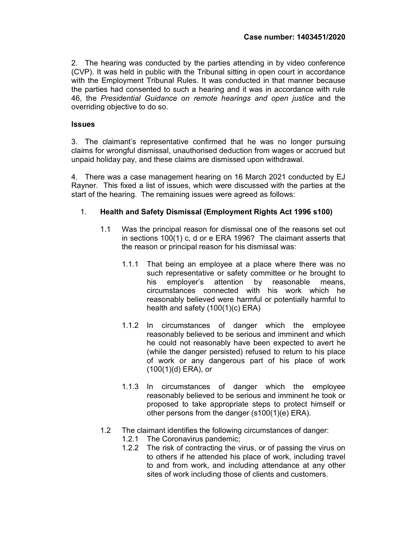2. The hearing was conducted by the parties attending in by video conference (CVP). It was held in public with the Tribunal sitting in open court in accordance with the Employment Tribunal Rules. It was conducted in that manner because the parties had consented to such a hearing and it was in accordance with rule 46, the Presidential Guidance on remote hearings and open justice and the overriding objective to do so.

# **Issues**

3. The claimant's representative confirmed that he was no longer pursuing claims for wrongful dismissal, unauthorised deduction from wages or accrued but unpaid holiday pay, and these claims are dismissed upon withdrawal.

4. There was a case management hearing on 16 March 2021 conducted by EJ Rayner. This fixed a list of issues, which were discussed with the parties at the start of the hearing. The remaining issues were agreed as follows:

# 1. Health and Safety Dismissal (Employment Rights Act 1996 s100)

- 1.1 Was the principal reason for dismissal one of the reasons set out in sections 100(1) c, d or e ERA 1996? The claimant asserts that the reason or principal reason for his dismissal was:
	- 1.1.1 That being an employee at a place where there was no such representative or safety committee or he brought to his employer's attention by reasonable means, circumstances connected with his work which he reasonably believed were harmful or potentially harmful to health and safety (100(1)(c) ERA)
	- 1.1.2 In circumstances of danger which the employee reasonably believed to be serious and imminent and which he could not reasonably have been expected to avert he (while the danger persisted) refused to return to his place of work or any dangerous part of his place of work (100(1)(d) ERA), or
	- 1.1.3 In circumstances of danger which the employee reasonably believed to be serious and imminent he took or proposed to take appropriate steps to protect himself or other persons from the danger (s100(1)(e) ERA).
- 1.2 The claimant identifies the following circumstances of danger:
	- 1.2.1 The Coronavirus pandemic;
	- 1.2.2 The risk of contracting the virus, or of passing the virus on to others if he attended his place of work, including travel to and from work, and including attendance at any other sites of work including those of clients and customers.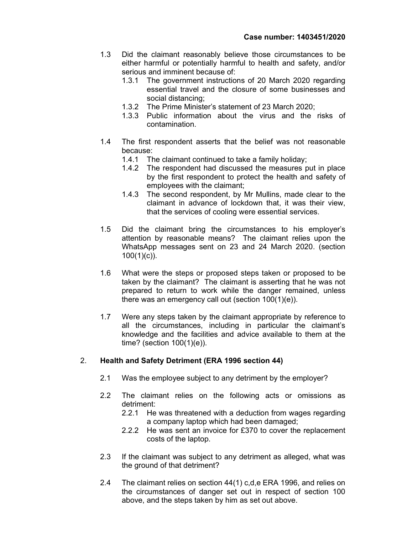- 1.3 Did the claimant reasonably believe those circumstances to be either harmful or potentially harmful to health and safety, and/or serious and imminent because of:
	- 1.3.1 The government instructions of 20 March 2020 regarding essential travel and the closure of some businesses and social distancing;
	- 1.3.2 The Prime Minister's statement of 23 March 2020;
	- 1.3.3 Public information about the virus and the risks of contamination.
- 1.4 The first respondent asserts that the belief was not reasonable because:
	- 1.4.1 The claimant continued to take a family holiday;
	- 1.4.2 The respondent had discussed the measures put in place by the first respondent to protect the health and safety of employees with the claimant;
	- 1.4.3 The second respondent, by Mr Mullins, made clear to the claimant in advance of lockdown that, it was their view, that the services of cooling were essential services.
- 1.5 Did the claimant bring the circumstances to his employer's attention by reasonable means? The claimant relies upon the WhatsApp messages sent on 23 and 24 March 2020. (section  $100(1)(c)$ ).
- 1.6 What were the steps or proposed steps taken or proposed to be taken by the claimant? The claimant is asserting that he was not prepared to return to work while the danger remained, unless there was an emergency call out (section 100(1)(e)).
- 1.7 Were any steps taken by the claimant appropriate by reference to all the circumstances, including in particular the claimant's knowledge and the facilities and advice available to them at the time? (section 100(1)(e)).

#### 2. Health and Safety Detriment (ERA 1996 section 44)

- 2.1 Was the employee subject to any detriment by the employer?
- 2.2 The claimant relies on the following acts or omissions as detriment:
	- 2.2.1 He was threatened with a deduction from wages regarding a company laptop which had been damaged;
	- 2.2.2 He was sent an invoice for £370 to cover the replacement costs of the laptop.
- 2.3 If the claimant was subject to any detriment as alleged, what was the ground of that detriment?
- 2.4 The claimant relies on section 44(1) c,d,e ERA 1996, and relies on the circumstances of danger set out in respect of section 100 above, and the steps taken by him as set out above.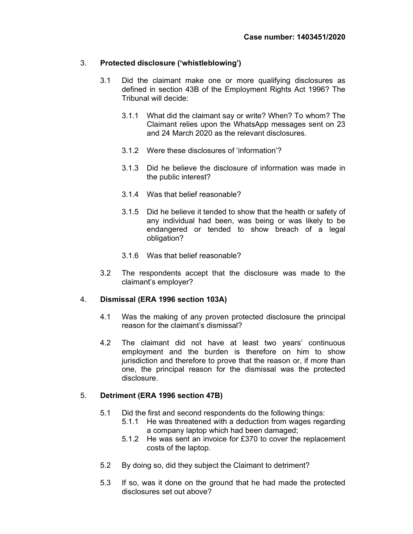# 3. Protected disclosure ('whistleblowing')

- 3.1 Did the claimant make one or more qualifying disclosures as defined in section 43B of the Employment Rights Act 1996? The Tribunal will decide:
	- 3.1.1 What did the claimant say or write? When? To whom? The Claimant relies upon the WhatsApp messages sent on 23 and 24 March 2020 as the relevant disclosures.
	- 3.1.2 Were these disclosures of 'information'?
	- 3.1.3 Did he believe the disclosure of information was made in the public interest?
	- 3.1.4 Was that belief reasonable?
	- 3.1.5 Did he believe it tended to show that the health or safety of any individual had been, was being or was likely to be endangered or tended to show breach of a legal obligation?
	- 3.1.6 Was that belief reasonable?
- 3.2 The respondents accept that the disclosure was made to the claimant's employer?

#### 4. Dismissal (ERA 1996 section 103A)

- 4.1 Was the making of any proven protected disclosure the principal reason for the claimant's dismissal?
- 4.2 The claimant did not have at least two years' continuous employment and the burden is therefore on him to show jurisdiction and therefore to prove that the reason or, if more than one, the principal reason for the dismissal was the protected disclosure.

## 5. Detriment (ERA 1996 section 47B)

- 5.1 Did the first and second respondents do the following things:
	- 5.1.1 He was threatened with a deduction from wages regarding a company laptop which had been damaged;
	- 5.1.2 He was sent an invoice for £370 to cover the replacement costs of the laptop.
- 5.2 By doing so, did they subject the Claimant to detriment?
- 5.3 If so, was it done on the ground that he had made the protected disclosures set out above?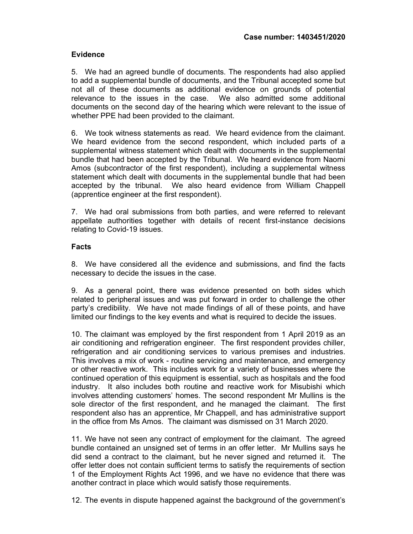# **Evidence**

5. We had an agreed bundle of documents. The respondents had also applied to add a supplemental bundle of documents, and the Tribunal accepted some but not all of these documents as additional evidence on grounds of potential relevance to the issues in the case. We also admitted some additional documents on the second day of the hearing which were relevant to the issue of whether PPE had been provided to the claimant.

6. We took witness statements as read. We heard evidence from the claimant. We heard evidence from the second respondent, which included parts of a supplemental witness statement which dealt with documents in the supplemental bundle that had been accepted by the Tribunal. We heard evidence from Naomi Amos (subcontractor of the first respondent), including a supplemental witness statement which dealt with documents in the supplemental bundle that had been accepted by the tribunal. We also heard evidence from William Chappell (apprentice engineer at the first respondent).

7. We had oral submissions from both parties, and were referred to relevant appellate authorities together with details of recent first-instance decisions relating to Covid-19 issues.

#### **Facts**

8. We have considered all the evidence and submissions, and find the facts necessary to decide the issues in the case.

9. As a general point, there was evidence presented on both sides which related to peripheral issues and was put forward in order to challenge the other party's credibility. We have not made findings of all of these points, and have limited our findings to the key events and what is required to decide the issues.

10. The claimant was employed by the first respondent from 1 April 2019 as an air conditioning and refrigeration engineer. The first respondent provides chiller, refrigeration and air conditioning services to various premises and industries. This involves a mix of work - routine servicing and maintenance, and emergency or other reactive work. This includes work for a variety of businesses where the continued operation of this equipment is essential, such as hospitals and the food industry. It also includes both routine and reactive work for Misubishi which involves attending customers' homes. The second respondent Mr Mullins is the sole director of the first respondent, and he managed the claimant. The first respondent also has an apprentice, Mr Chappell, and has administrative support in the office from Ms Amos. The claimant was dismissed on 31 March 2020.

11. We have not seen any contract of employment for the claimant. The agreed bundle contained an unsigned set of terms in an offer letter. Mr Mullins says he did send a contract to the claimant, but he never signed and returned it. The offer letter does not contain sufficient terms to satisfy the requirements of section 1 of the Employment Rights Act 1996, and we have no evidence that there was another contract in place which would satisfy those requirements.

12. The events in dispute happened against the background of the government's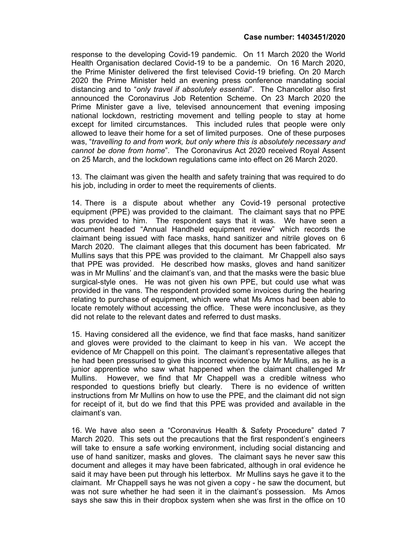response to the developing Covid-19 pandemic. On 11 March 2020 the World Health Organisation declared Covid-19 to be a pandemic. On 16 March 2020, the Prime Minister delivered the first televised Covid-19 briefing. On 20 March 2020 the Prime Minister held an evening press conference mandating social distancing and to "only travel if absolutely essential". The Chancellor also first announced the Coronavirus Job Retention Scheme. On 23 March 2020 the Prime Minister gave a live, televised announcement that evening imposing national lockdown, restricting movement and telling people to stay at home except for limited circumstances. This included rules that people were only allowed to leave their home for a set of limited purposes. One of these purposes was, "travelling to and from work, but only where this is absolutely necessary and cannot be done from home". The Coronavirus Act 2020 received Royal Assent on 25 March, and the lockdown regulations came into effect on 26 March 2020.

13. The claimant was given the health and safety training that was required to do his job, including in order to meet the requirements of clients.

14. There is a dispute about whether any Covid-19 personal protective equipment (PPE) was provided to the claimant. The claimant says that no PPE was provided to him. The respondent says that it was. We have seen a document headed "Annual Handheld equipment review" which records the claimant being issued with face masks, hand sanitizer and nitrile gloves on 6 March 2020. The claimant alleges that this document has been fabricated. Mr Mullins says that this PPE was provided to the claimant. Mr Chappell also says that PPE was provided. He described how masks, gloves and hand sanitizer was in Mr Mullins' and the claimant's van, and that the masks were the basic blue surgical-style ones. He was not given his own PPE, but could use what was provided in the vans. The respondent provided some invoices during the hearing relating to purchase of equipment, which were what Ms Amos had been able to locate remotely without accessing the office. These were inconclusive, as they did not relate to the relevant dates and referred to dust masks.

15. Having considered all the evidence, we find that face masks, hand sanitizer and gloves were provided to the claimant to keep in his van. We accept the evidence of Mr Chappell on this point. The claimant's representative alleges that he had been pressurised to give this incorrect evidence by Mr Mullins, as he is a junior apprentice who saw what happened when the claimant challenged Mr Mullins. However, we find that Mr Chappell was a credible witness who responded to questions briefly but clearly. There is no evidence of written instructions from Mr Mullins on how to use the PPE, and the claimant did not sign for receipt of it, but do we find that this PPE was provided and available in the claimant's van.

16. We have also seen a "Coronavirus Health & Safety Procedure" dated 7 March 2020. This sets out the precautions that the first respondent's engineers will take to ensure a safe working environment, including social distancing and use of hand sanitizer, masks and gloves. The claimant says he never saw this document and alleges it may have been fabricated, although in oral evidence he said it may have been put through his letterbox. Mr Mullins says he gave it to the claimant. Mr Chappell says he was not given a copy - he saw the document, but was not sure whether he had seen it in the claimant's possession. Ms Amos says she saw this in their dropbox system when she was first in the office on 10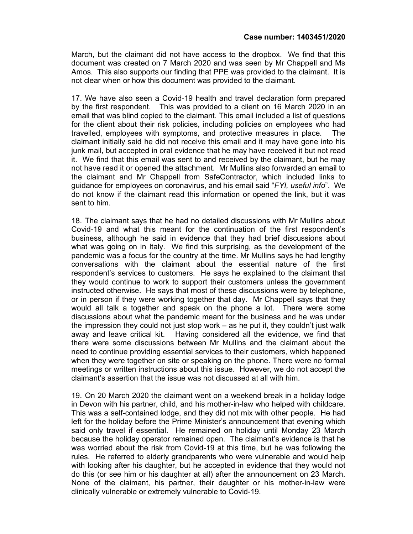March, but the claimant did not have access to the dropbox. We find that this document was created on 7 March 2020 and was seen by Mr Chappell and Ms Amos. This also supports our finding that PPE was provided to the claimant. It is not clear when or how this document was provided to the claimant.

17. We have also seen a Covid-19 health and travel declaration form prepared by the first respondent. This was provided to a client on 16 March 2020 in an email that was blind copied to the claimant. This email included a list of questions for the client about their risk policies, including policies on employees who had travelled, employees with symptoms, and protective measures in place. The claimant initially said he did not receive this email and it may have gone into his junk mail, but accepted in oral evidence that he may have received it but not read it. We find that this email was sent to and received by the claimant, but he may not have read it or opened the attachment. Mr Mullins also forwarded an email to the claimant and Mr Chappell from SafeContractor, which included links to guidance for employees on coronavirus, and his email said "FYI, useful info". We do not know if the claimant read this information or opened the link, but it was sent to him.

18. The claimant says that he had no detailed discussions with Mr Mullins about Covid-19 and what this meant for the continuation of the first respondent's business, although he said in evidence that they had brief discussions about what was going on in Italy. We find this surprising, as the development of the pandemic was a focus for the country at the time. Mr Mullins says he had lengthy conversations with the claimant about the essential nature of the first respondent's services to customers. He says he explained to the claimant that they would continue to work to support their customers unless the government instructed otherwise. He says that most of these discussions were by telephone, or in person if they were working together that day. Mr Chappell says that they would all talk a together and speak on the phone a lot. There were some discussions about what the pandemic meant for the business and he was under the impression they could not just stop work – as he put it, they couldn't just walk away and leave critical kit. Having considered all the evidence, we find that there were some discussions between Mr Mullins and the claimant about the need to continue providing essential services to their customers, which happened when they were together on site or speaking on the phone. There were no formal meetings or written instructions about this issue. However, we do not accept the claimant's assertion that the issue was not discussed at all with him.

19. On 20 March 2020 the claimant went on a weekend break in a holiday lodge in Devon with his partner, child, and his mother-in-law who helped with childcare. This was a self-contained lodge, and they did not mix with other people. He had left for the holiday before the Prime Minister's announcement that evening which said only travel if essential. He remained on holiday until Monday 23 March because the holiday operator remained open. The claimant's evidence is that he was worried about the risk from Covid-19 at this time, but he was following the rules. He referred to elderly grandparents who were vulnerable and would help with looking after his daughter, but he accepted in evidence that they would not do this (or see him or his daughter at all) after the announcement on 23 March. None of the claimant, his partner, their daughter or his mother-in-law were clinically vulnerable or extremely vulnerable to Covid-19.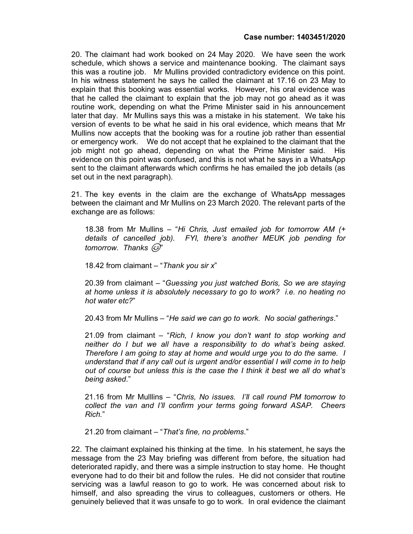20. The claimant had work booked on 24 May 2020. We have seen the work schedule, which shows a service and maintenance booking. The claimant says this was a routine job. Mr Mullins provided contradictory evidence on this point. In his witness statement he says he called the claimant at 17.16 on 23 May to explain that this booking was essential works. However, his oral evidence was that he called the claimant to explain that the job may not go ahead as it was routine work, depending on what the Prime Minister said in his announcement later that day. Mr Mullins says this was a mistake in his statement. We take his version of events to be what he said in his oral evidence, which means that Mr Mullins now accepts that the booking was for a routine job rather than essential or emergency work. We do not accept that he explained to the claimant that the job might not go ahead, depending on what the Prime Minister said. His evidence on this point was confused, and this is not what he says in a WhatsApp sent to the claimant afterwards which confirms he has emailed the job details (as set out in the next paragraph).

21. The key events in the claim are the exchange of WhatsApp messages between the claimant and Mr Mullins on 23 March 2020. The relevant parts of the exchange are as follows:

 18.38 from Mr Mullins – "Hi Chris, Just emailed job for tomorrow AM (+ details of cancelled job). FYI, there's another MEUK job pending for tomorrow. Thanks  $\mathcal{F}$ 

18.42 from claimant – "Thank you sir  $x$ "

 20.39 from claimant – "Guessing you just watched Boris, So we are staying at home unless it is absolutely necessary to go to work? i.e. no heating no hot water etc?"

20.43 from Mr Mullins – "He said we can go to work. No social gatherings."

21.09 from claimant  $-$  "Rich, I know you don't want to stop working and neither do I but we all have a responsibility to do what's being asked. Therefore I am going to stay at home and would urge you to do the same. I understand that if any call out is urgent and/or essential I will come in to help out of course but unless this is the case the I think it best we all do what's being asked."

 21.16 from Mr Mulllins – "Chris, No issues. I'll call round PM tomorrow to collect the van and I'll confirm your terms going forward ASAP. Cheers Rich."

21.20 from claimant – "That's fine, no problems."

22. The claimant explained his thinking at the time. In his statement, he says the message from the 23 May briefing was different from before, the situation had deteriorated rapidly, and there was a simple instruction to stay home. He thought everyone had to do their bit and follow the rules. He did not consider that routine servicing was a lawful reason to go to work. He was concerned about risk to himself, and also spreading the virus to colleagues, customers or others. He genuinely believed that it was unsafe to go to work. In oral evidence the claimant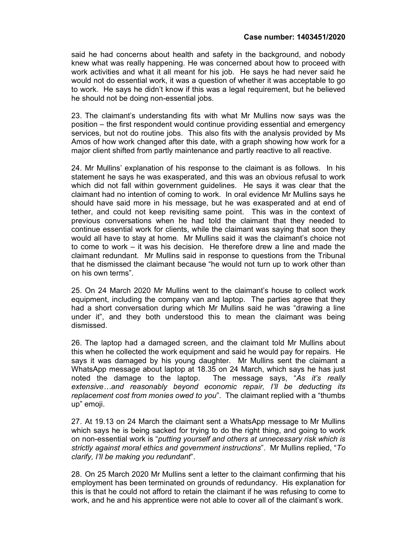#### Case number: 1403451/2020

said he had concerns about health and safety in the background, and nobody knew what was really happening. He was concerned about how to proceed with work activities and what it all meant for his job. He says he had never said he would not do essential work, it was a question of whether it was acceptable to go to work. He says he didn't know if this was a legal requirement, but he believed he should not be doing non-essential jobs.

23. The claimant's understanding fits with what Mr Mullins now says was the position – the first respondent would continue providing essential and emergency services, but not do routine jobs. This also fits with the analysis provided by Ms Amos of how work changed after this date, with a graph showing how work for a major client shifted from partly maintenance and partly reactive to all reactive.

24. Mr Mullins' explanation of his response to the claimant is as follows. In his statement he says he was exasperated, and this was an obvious refusal to work which did not fall within government guidelines. He says it was clear that the claimant had no intention of coming to work. In oral evidence Mr Mullins says he should have said more in his message, but he was exasperated and at end of tether, and could not keep revisiting same point. This was in the context of previous conversations when he had told the claimant that they needed to continue essential work for clients, while the claimant was saying that soon they would all have to stay at home. Mr Mullins said it was the claimant's choice not to come to work – it was his decision. He therefore drew a line and made the claimant redundant. Mr Mullins said in response to questions from the Tribunal that he dismissed the claimant because "he would not turn up to work other than on his own terms".

25. On 24 March 2020 Mr Mullins went to the claimant's house to collect work equipment, including the company van and laptop. The parties agree that they had a short conversation during which Mr Mullins said he was "drawing a line under it", and they both understood this to mean the claimant was being dismissed.

26. The laptop had a damaged screen, and the claimant told Mr Mullins about this when he collected the work equipment and said he would pay for repairs. He says it was damaged by his young daughter. Mr Mullins sent the claimant a WhatsApp message about laptop at 18.35 on 24 March, which says he has just noted the damage to the laptop. The message says, "As it's really extensive…and reasonably beyond economic repair, I'll be deducting its replacement cost from monies owed to you". The claimant replied with a "thumbs up" emoji.

27. At 19.13 on 24 March the claimant sent a WhatsApp message to Mr Mullins which says he is being sacked for trying to do the right thing, and going to work on non-essential work is "putting yourself and others at unnecessary risk which is strictly against moral ethics and government instructions". Mr Mullins replied, "To clarify, I'll be making you redundant".

28. On 25 March 2020 Mr Mullins sent a letter to the claimant confirming that his employment has been terminated on grounds of redundancy. His explanation for this is that he could not afford to retain the claimant if he was refusing to come to work, and he and his apprentice were not able to cover all of the claimant's work.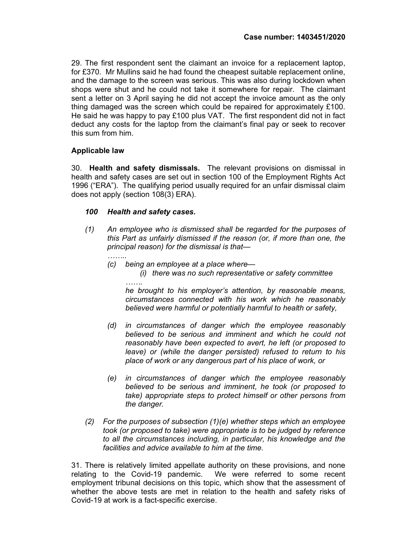29. The first respondent sent the claimant an invoice for a replacement laptop, for £370. Mr Mullins said he had found the cheapest suitable replacement online, and the damage to the screen was serious. This was also during lockdown when shops were shut and he could not take it somewhere for repair. The claimant sent a letter on 3 April saying he did not accept the invoice amount as the only thing damaged was the screen which could be repaired for approximately £100. He said he was happy to pay £100 plus VAT. The first respondent did not in fact deduct any costs for the laptop from the claimant's final pay or seek to recover this sum from him.

# Applicable law

30. Health and safety dismissals. The relevant provisions on dismissal in health and safety cases are set out in section 100 of the Employment Rights Act 1996 ("ERA"). The qualifying period usually required for an unfair dismissal claim does not apply (section 108(3) ERA).

# 100 Health and safety cases.

- (1) An employee who is dismissed shall be regarded for the purposes of this Part as unfairly dismissed if the reason (or, if more than one, the principal reason) for the dismissal is that—
- ……..
	- (c) being an employee at a place where—
- (i) there was no such representative or safety committee …….

 he brought to his employer's attention, by reasonable means, circumstances connected with his work which he reasonably believed were harmful or potentially harmful to health or safety,

- (d) in circumstances of danger which the employee reasonably believed to be serious and imminent and which he could not reasonably have been expected to avert, he left (or proposed to leave) or (while the danger persisted) refused to return to his place of work or any dangerous part of his place of work, or
- (e) in circumstances of danger which the employee reasonably believed to be serious and imminent, he took (or proposed to take) appropriate steps to protect himself or other persons from the danger.
- (2) For the purposes of subsection  $(1)(e)$  whether steps which an employee took (or proposed to take) were appropriate is to be judged by reference to all the circumstances including, in particular, his knowledge and the facilities and advice available to him at the time.

31. There is relatively limited appellate authority on these provisions, and none relating to the Covid-19 pandemic. We were referred to some recent employment tribunal decisions on this topic, which show that the assessment of whether the above tests are met in relation to the health and safety risks of Covid-19 at work is a fact-specific exercise.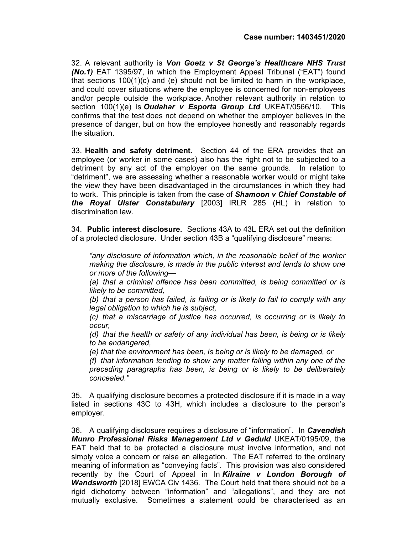32. A relevant authority is Von Goetz v St George's Healthcare NHS Trust (No.1) EAT 1395/97, in which the Employment Appeal Tribunal ("EAT") found that sections 100(1)(c) and (e) should not be limited to harm in the workplace, and could cover situations where the employee is concerned for non-employees and/or people outside the workplace. Another relevant authority in relation to section 100(1)(e) is **Oudahar v Esporta Group Ltd** UKEAT/0566/10. This confirms that the test does not depend on whether the employer believes in the presence of danger, but on how the employee honestly and reasonably regards the situation.

33. Health and safety detriment. Section 44 of the ERA provides that an employee (or worker in some cases) also has the right not to be subjected to a detriment by any act of the employer on the same grounds. In relation to "detriment", we are assessing whether a reasonable worker would or might take the view they have been disadvantaged in the circumstances in which they had to work. This principle is taken from the case of Shamoon v Chief Constable of the Royal Ulster Constabulary [2003] IRLR 285 (HL) in relation to discrimination law.

34. Public interest disclosure. Sections 43A to 43L ERA set out the definition of a protected disclosure. Under section 43B a "qualifying disclosure" means:

 "any disclosure of information which, in the reasonable belief of the worker making the disclosure, is made in the public interest and tends to show one or more of the following—

 (a) that a criminal offence has been committed, is being committed or is likely to be committed,

 (b) that a person has failed, is failing or is likely to fail to comply with any legal obligation to which he is subject,

 (c) that a miscarriage of justice has occurred, is occurring or is likely to occur,

 (d) that the health or safety of any individual has been, is being or is likely to be endangered,

(e) that the environment has been, is being or is likely to be damaged, or

 (f) that information tending to show any matter falling within any one of the preceding paragraphs has been, is being or is likely to be deliberately concealed."

35. A qualifying disclosure becomes a protected disclosure if it is made in a way listed in sections 43C to 43H, which includes a disclosure to the person's employer.

36. A qualifying disclosure requires a disclosure of "information". In **Cavendish** Munro Professional Risks Management Ltd v Geduld UKEAT/0195/09, the EAT held that to be protected a disclosure must involve information, and not simply voice a concern or raise an allegation. The EAT referred to the ordinary meaning of information as "conveying facts". This provision was also considered recently by the Court of Appeal in In Kilraine v London Borough of Wandsworth [2018] EWCA Civ 1436. The Court held that there should not be a rigid dichotomy between "information" and "allegations", and they are not mutually exclusive. Sometimes a statement could be characterised as an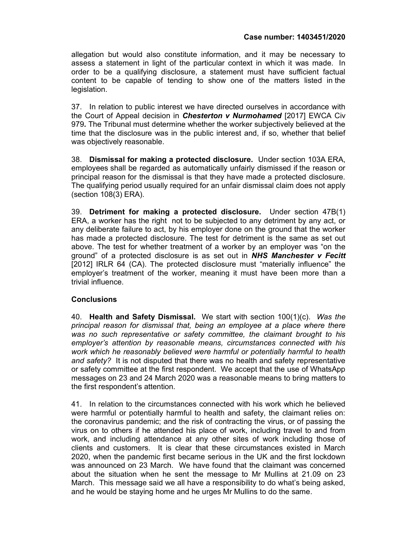allegation but would also constitute information, and it may be necessary to assess a statement in light of the particular context in which it was made. In order to be a qualifying disclosure, a statement must have sufficient factual content to be capable of tending to show one of the matters listed in the legislation.

37. In relation to public interest we have directed ourselves in accordance with the Court of Appeal decision in *Chesterton v Nurmohamed* [2017] EWCA Civ 979. The Tribunal must determine whether the worker subjectively believed at the time that the disclosure was in the public interest and, if so, whether that belief was objectively reasonable.

38. Dismissal for making a protected disclosure. Under section 103A ERA, employees shall be regarded as automatically unfairly dismissed if the reason or principal reason for the dismissal is that they have made a protected disclosure. The qualifying period usually required for an unfair dismissal claim does not apply (section 108(3) ERA).

39. Detriment for making a protected disclosure. Under section 47B(1) ERA, a worker has the right not to be subjected to any detriment by any act, or any deliberate failure to act, by his employer done on the ground that the worker has made a protected disclosure. The test for detriment is the same as set out above. The test for whether treatment of a worker by an employer was "on the ground" of a protected disclosure is as set out in NHS Manchester v Fecitt [2012] IRLR 64 (CA). The protected disclosure must "materially influence" the employer's treatment of the worker, meaning it must have been more than a trivial influence.

# **Conclusions**

40. Health and Safety Dismissal. We start with section 100(1)(c). Was the principal reason for dismissal that, being an employee at a place where there was no such representative or safety committee, the claimant brought to his employer's attention by reasonable means, circumstances connected with his work which he reasonably believed were harmful or potentially harmful to health and safety? It is not disputed that there was no health and safety representative or safety committee at the first respondent. We accept that the use of WhatsApp messages on 23 and 24 March 2020 was a reasonable means to bring matters to the first respondent's attention.

41. In relation to the circumstances connected with his work which he believed were harmful or potentially harmful to health and safety, the claimant relies on: the coronavirus pandemic; and the risk of contracting the virus, or of passing the virus on to others if he attended his place of work, including travel to and from work, and including attendance at any other sites of work including those of clients and customers. It is clear that these circumstances existed in March 2020, when the pandemic first became serious in the UK and the first lockdown was announced on 23 March. We have found that the claimant was concerned about the situation when he sent the message to Mr Mullins at 21.09 on 23 March. This message said we all have a responsibility to do what's being asked, and he would be staying home and he urges Mr Mullins to do the same.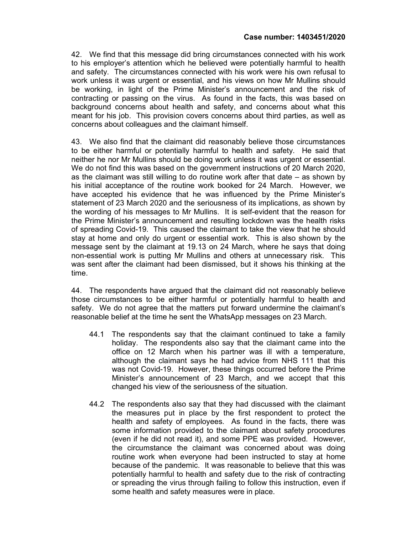42. We find that this message did bring circumstances connected with his work to his employer's attention which he believed were potentially harmful to health and safety. The circumstances connected with his work were his own refusal to work unless it was urgent or essential, and his views on how Mr Mullins should be working, in light of the Prime Minister's announcement and the risk of contracting or passing on the virus. As found in the facts, this was based on background concerns about health and safety, and concerns about what this meant for his job. This provision covers concerns about third parties, as well as concerns about colleagues and the claimant himself.

43. We also find that the claimant did reasonably believe those circumstances to be either harmful or potentially harmful to health and safety. He said that neither he nor Mr Mullins should be doing work unless it was urgent or essential. We do not find this was based on the government instructions of 20 March 2020, as the claimant was still willing to do routine work after that date – as shown by his initial acceptance of the routine work booked for 24 March. However, we have accepted his evidence that he was influenced by the Prime Minister's statement of 23 March 2020 and the seriousness of its implications, as shown by the wording of his messages to Mr Mullins. It is self-evident that the reason for the Prime Minister's announcement and resulting lockdown was the health risks of spreading Covid-19. This caused the claimant to take the view that he should stay at home and only do urgent or essential work. This is also shown by the message sent by the claimant at 19.13 on 24 March, where he says that doing non-essential work is putting Mr Mullins and others at unnecessary risk. This was sent after the claimant had been dismissed, but it shows his thinking at the time.

44. The respondents have argued that the claimant did not reasonably believe those circumstances to be either harmful or potentially harmful to health and safety. We do not agree that the matters put forward undermine the claimant's reasonable belief at the time he sent the WhatsApp messages on 23 March.

- 44.1 The respondents say that the claimant continued to take a family holiday. The respondents also say that the claimant came into the office on 12 March when his partner was ill with a temperature, although the claimant says he had advice from NHS 111 that this was not Covid-19. However, these things occurred before the Prime Minister's announcement of 23 March, and we accept that this changed his view of the seriousness of the situation.
- 44.2 The respondents also say that they had discussed with the claimant the measures put in place by the first respondent to protect the health and safety of employees. As found in the facts, there was some information provided to the claimant about safety procedures (even if he did not read it), and some PPE was provided. However, the circumstance the claimant was concerned about was doing routine work when everyone had been instructed to stay at home because of the pandemic. It was reasonable to believe that this was potentially harmful to health and safety due to the risk of contracting or spreading the virus through failing to follow this instruction, even if some health and safety measures were in place.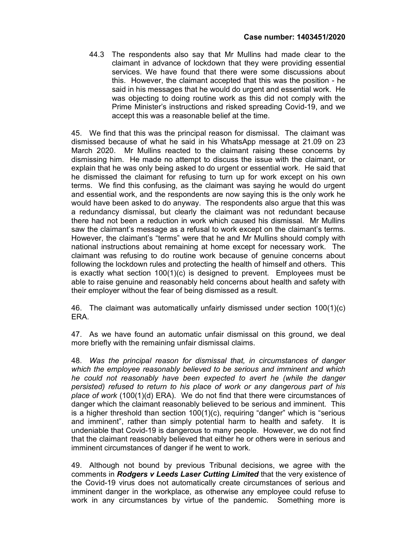44.3 The respondents also say that Mr Mullins had made clear to the claimant in advance of lockdown that they were providing essential services. We have found that there were some discussions about this. However, the claimant accepted that this was the position - he said in his messages that he would do urgent and essential work. He was objecting to doing routine work as this did not comply with the Prime Minister's instructions and risked spreading Covid-19, and we accept this was a reasonable belief at the time.

45. We find that this was the principal reason for dismissal. The claimant was dismissed because of what he said in his WhatsApp message at 21.09 on 23 March 2020. Mr Mullins reacted to the claimant raising these concerns by dismissing him. He made no attempt to discuss the issue with the claimant, or explain that he was only being asked to do urgent or essential work. He said that he dismissed the claimant for refusing to turn up for work except on his own terms. We find this confusing, as the claimant was saying he would do urgent and essential work, and the respondents are now saying this is the only work he would have been asked to do anyway. The respondents also argue that this was a redundancy dismissal, but clearly the claimant was not redundant because there had not been a reduction in work which caused his dismissal. Mr Mullins saw the claimant's message as a refusal to work except on the claimant's terms. However, the claimant's "terms" were that he and Mr Mullins should comply with national instructions about remaining at home except for necessary work. The claimant was refusing to do routine work because of genuine concerns about following the lockdown rules and protecting the health of himself and others. This is exactly what section 100(1)(c) is designed to prevent. Employees must be able to raise genuine and reasonably held concerns about health and safety with their employer without the fear of being dismissed as a result.

46. The claimant was automatically unfairly dismissed under section 100(1)(c) ERA.

47. As we have found an automatic unfair dismissal on this ground, we deal more briefly with the remaining unfair dismissal claims.

48. Was the principal reason for dismissal that, in circumstances of danger which the employee reasonably believed to be serious and imminent and which he could not reasonably have been expected to avert he (while the danger persisted) refused to return to his place of work or any dangerous part of his place of work (100(1)(d) ERA). We do not find that there were circumstances of danger which the claimant reasonably believed to be serious and imminent. This is a higher threshold than section 100(1)(c), requiring "danger" which is "serious and imminent", rather than simply potential harm to health and safety. It is undeniable that Covid-19 is dangerous to many people. However, we do not find that the claimant reasonably believed that either he or others were in serious and imminent circumstances of danger if he went to work.

49. Although not bound by previous Tribunal decisions, we agree with the comments in Rodgers v Leeds Laser Cutting Limited that the very existence of the Covid-19 virus does not automatically create circumstances of serious and imminent danger in the workplace, as otherwise any employee could refuse to work in any circumstances by virtue of the pandemic. Something more is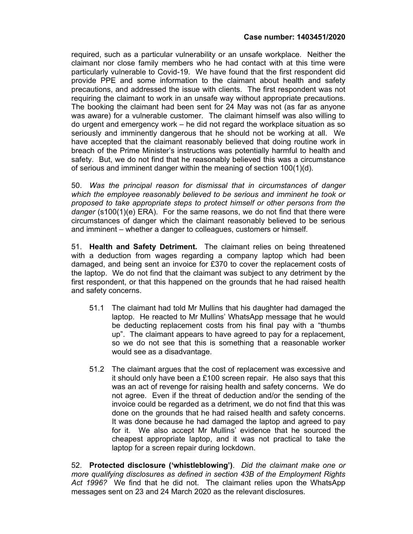required, such as a particular vulnerability or an unsafe workplace. Neither the claimant nor close family members who he had contact with at this time were particularly vulnerable to Covid-19. We have found that the first respondent did provide PPE and some information to the claimant about health and safety precautions, and addressed the issue with clients. The first respondent was not requiring the claimant to work in an unsafe way without appropriate precautions. The booking the claimant had been sent for 24 May was not (as far as anyone was aware) for a vulnerable customer. The claimant himself was also willing to do urgent and emergency work – he did not regard the workplace situation as so seriously and imminently dangerous that he should not be working at all. We have accepted that the claimant reasonably believed that doing routine work in breach of the Prime Minister's instructions was potentially harmful to health and safety. But, we do not find that he reasonably believed this was a circumstance of serious and imminent danger within the meaning of section 100(1)(d).

50. Was the principal reason for dismissal that in circumstances of danger which the employee reasonably believed to be serious and imminent he took or proposed to take appropriate steps to protect himself or other persons from the danger  $(s100(1)(e)$  ERA). For the same reasons, we do not find that there were circumstances of danger which the claimant reasonably believed to be serious and imminent – whether a danger to colleagues, customers or himself.

51. Health and Safety Detriment. The claimant relies on being threatened with a deduction from wages regarding a company laptop which had been damaged, and being sent an invoice for £370 to cover the replacement costs of the laptop. We do not find that the claimant was subject to any detriment by the first respondent, or that this happened on the grounds that he had raised health and safety concerns.

- 51.1 The claimant had told Mr Mullins that his daughter had damaged the laptop. He reacted to Mr Mullins' WhatsApp message that he would be deducting replacement costs from his final pay with a "thumbs up". The claimant appears to have agreed to pay for a replacement, so we do not see that this is something that a reasonable worker would see as a disadvantage.
- 51.2 The claimant argues that the cost of replacement was excessive and it should only have been a £100 screen repair. He also says that this was an act of revenge for raising health and safety concerns. We do not agree. Even if the threat of deduction and/or the sending of the invoice could be regarded as a detriment, we do not find that this was done on the grounds that he had raised health and safety concerns. It was done because he had damaged the laptop and agreed to pay for it. We also accept Mr Mullins' evidence that he sourced the cheapest appropriate laptop, and it was not practical to take the laptop for a screen repair during lockdown.

52. Protected disclosure ('whistleblowing'). Did the claimant make one or more qualifying disclosures as defined in section 43B of the Employment Rights Act 1996? We find that he did not. The claimant relies upon the WhatsApp messages sent on 23 and 24 March 2020 as the relevant disclosures.